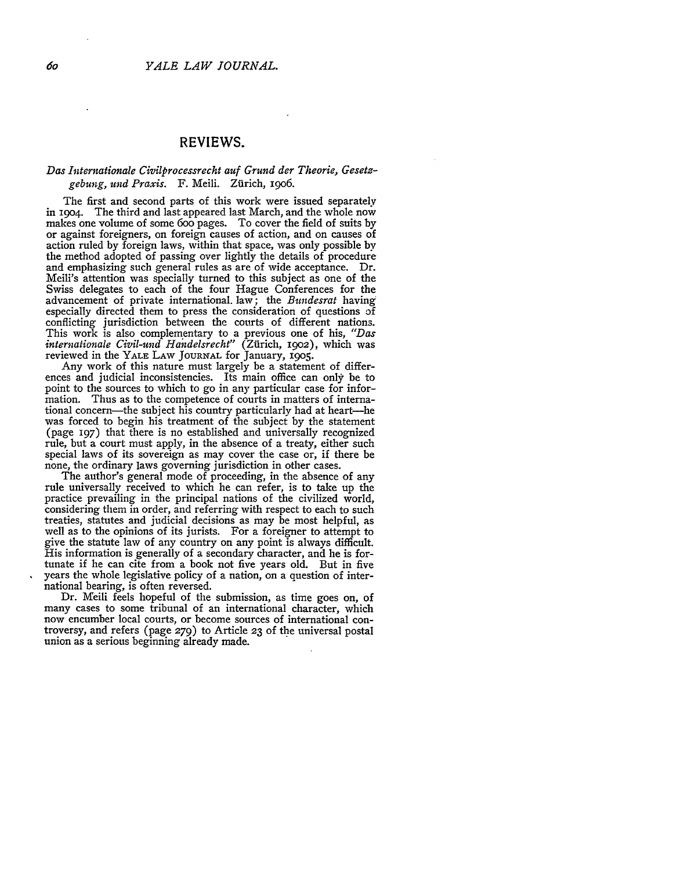## REVIEWS.

## *Das Internationale Civilprocessrecht auf Grund der Theorie, Gesetzgebung, und Praxis.* F. Meili. Zftrich, 19o6.

The first and second parts of this work were issued separately in **19o4.** The third and last appeared last March, and the whole now makes one volume of some 6oo pages. To cover the field of suits **by** or against foreigners, on foreign causes of action, and on causes of action ruled **by** foreign laws, within that space, was only possible **by** the method adopted of passing over lightly the details of procedure and emphasizing such general rules as are of wide acceptance. Dr. Meili's attention was specially turned to this subject as one of the Swiss delegates to each of the four Hague Conferences for the advancement of private international, law; the *Bundesrat* having especially directed them to press the consideration of questions of conflicting jurisdiction between the courts of different nations. This work is also complementary to a previous one of his, *"Das internationale Civil-und Handelsrecht"* (Zftrich, **1902),** which was reviewed in the YALE LAW **JOURNAL** for January, **1905.**

Any work of this nature must largely be a statement of differences and judicial inconsistencies. Its main office can only be to point to the sources to which to go in any particular case for information. Thus as to the competence of courts in matters of international concern—the subject his country particularly had at heart—he was forced to begin his treatment of the subject by the statement (page 197) that there is no established and universally recognized rule, but a court must apply, in the absence of a treaty, either such special laws of its sovereign as may cover the case or, if there be none, the ordinary laws governing jurisdiction in other cases.

The author's general mode of proceeding, in the absence of any rule universally received to which he can refer, is to take up the practice prevailing in the principal nations of the civilized world, considering them in order, and referring with respect to each to such treaties, statutes and judicial decisions as may be most helpful, as well as to the opinions of its jurists. For a foreigner to attempt to give the statute law of any country on any point is always difficult. His information is generally of a secondary character, and he is fortunate if he can cite from a book not five years old. But in five years the whole legislative policy of a nation, on a question of international bearing, is often reversed.

Dr. Meili feels hopeful of the submission, as time goes on, of many cases to some tribunal of an international character, which now encumber local courts, or become sources of international controversy, and refers (page **279)** to Article **23** of the universal postal union as a serious beginning already made.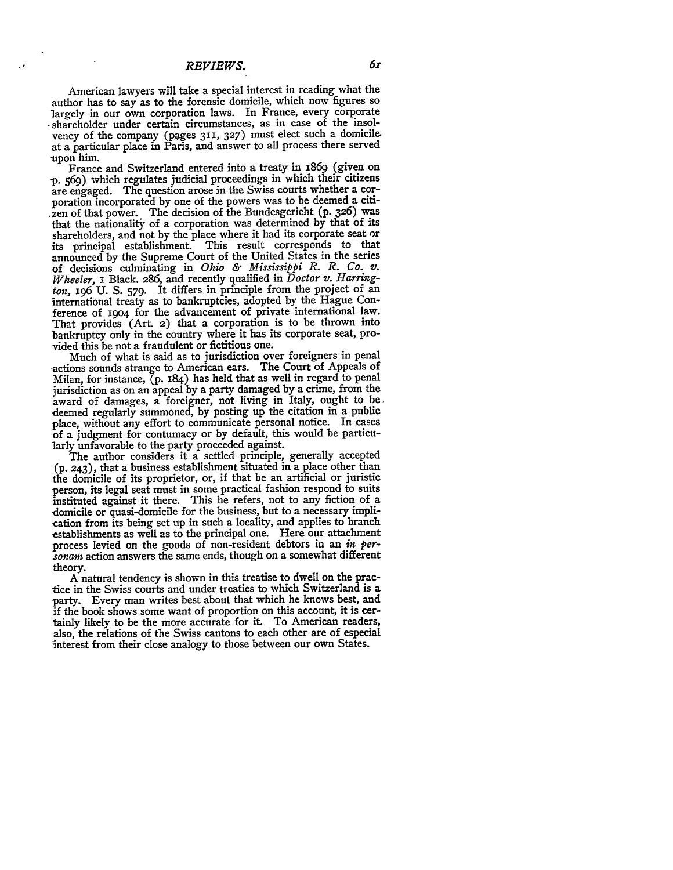American lawyers will take a special interest in reading what the author has to say as to the forensic domicile, which now figures so largely in our own corporation laws. In France, every corporate shareholder under certain circumstances, as in case of the insolvency of the company (pages 311, **327)** must elect such a domicil at a particular place in Paris, and answer to all process there served -upon him.

France and Switzerland entered into a treaty in 1869 (given on -p. 569) which regulates judicial proceedings in which their citizens are engaged. The question arose in the Swiss courts whether a corporation incorporated by one of the powers was to be deemed a citi- .zen of that power. The decision of the Bundesgericht (p. 326) was that the nationality of a corporation was determined by that of its shareholders, and not by the place where it had its corporate seat or its principal establishment. This result corresponds to that announced by the Supreme Court of the United States in the series of decisions culminating in *Ohio & Mississippi R. R. Co. v. Wheeler,* i Black. 286, and recently qualified in *Doctor v. Harrington,* 196 **U. S.** *579.* It differs in principle from the project of an international treaty as to bankruptcies, adopted **by** the Hague Conference of **19o4** for the advancement of private international law. That provides (Art. 2) that a corporation is to be thrown into bankruptcy only in the country where it has its corporate seat, provided this be not a fraudulent or fictitious one.

Much of what is said as to jurisdiction over foreigners in penal -actions sounds strange to American ears. The Court of Appeals of Milan, for instance, (p. 184) has held that as well in regard to penal jurisdiction as on an appeal **by** a party damaged **by** a crime, from the award of damages, a foreigner, not living in Italy, ought to be. deemed regularly summoned, **by** posting up the citation in a public place, without any effort to communicate personal notice. In cases of a judgment for contumacy or **by** default, this would be particularly unfavorable to the party proceeded against.

The author considers it a settled principle, generally accepted **(p.** 243), that a business establishment situated in a place other than the domicile of its proprietor, or, if that be an artificial or juristic person, its legal seat must in some practical fashion respond to suits instituted against it there. This he refers, not to any fiction of a domicile or quasi-domicile for the business, but to a necessary implication from its being set up in such a locality, and applies to branch establishments as well as to the principal one. Here our attachment process levied on the goods of non-resident debtors in an *in personam* action answers the same ends, though on a somewhat different theory.

A natural tendency is shown in this treatise to dwell on the practice in the Swiss courts and under treaties to which Switzerland is a party. Every man writes best about that which he knows best, and if the book shows some want of proportion on this account, it is certainly likely to be the more accurate for it. To American readers, also, the relations of the Swiss cantons to each other are of especial interest from their close analogy to those between our own States.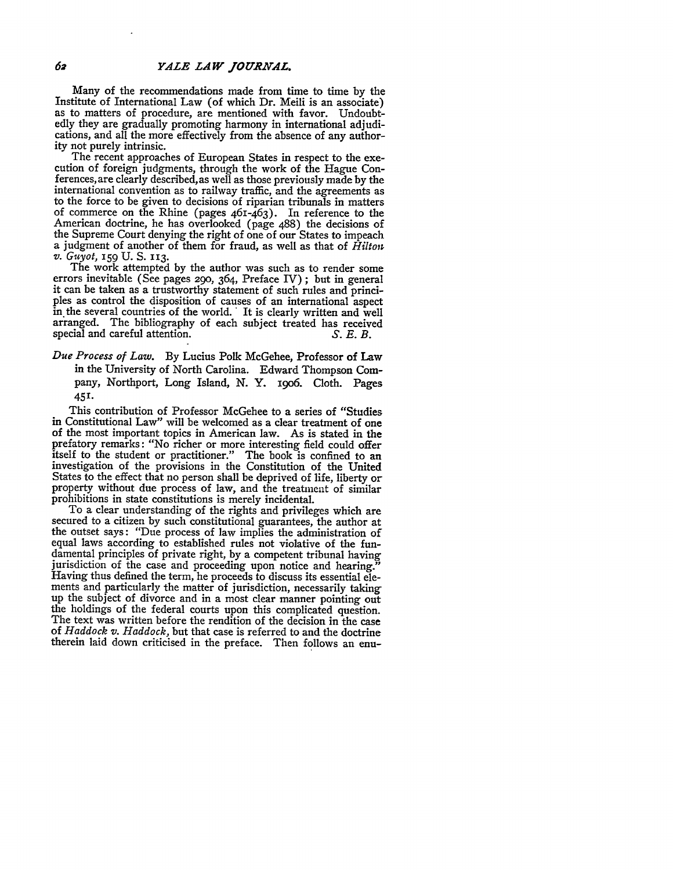Many of the recommendations made from time to time by the Institute of International Law (of which Dr. Meili is an associate) as to matters of procedure, are mentioned with favor. Undoubtedly they are gradually promoting harmony in international adjudications, and all the more effectively from the absence of any authority not purely intrinsic.

The recent approaches of European States in respect to the execution of foreign judgments, through the work of the Hague Conferences, are clearly described, as well as those previously made **by** the international convention as to railway traffic, and the agreements as to the force to be given to decisions of riparian tribunals in matters of commerce on the Rhine (pages 461-463). In reference to the American doctrine, he has overlooked (page **488)** the decisions of the Supreme Court denying the right of one of our States to impeach a judgment of another of them for fraud, as well as that of *Hilton v. Guyot,* **159 U. S. 113.**

The work attempted **by** the author was such as to render some errors inevitable (See pages  $290$ ,  $364$ , Preface IV); but in general it can be taken as a trustworthy statement of such rules and principles as control the disposition of causes of an international aspect in the several arranged. The bibliography of each subject treated has received special and careful attention.  $S. E. B$ .  $Special$  and careful attention.

*Due Process of Law.* **By** Lucius Polk McGehee, Professor of Law in the University of North Carolina. Edward Thompson Company, Northport, Long Island, N. Y. 19o6. Cloth. Pages 451.

This contribution of Professor McGehee to a series of "Studies in Constitutional Law" will be welcomed as a clear treatment of one of the most important topics in American law. As is stated in the prefatory remarks: "No richer or more interesting field could offer itself to the student or practitioner." The book is confined to an investigation of the provisions in the Constitution of the United States to the effect that no person shall be deprived of life, liberty or property without due process of law, and the treatment of similar prohibitions in state constitutions is merely incidental.

To a clear understanding of the rights and privileges which are secured to a citizen by such constitutional guarantees, the author at the outset says: "Due process of law implies the administration of equal laws according to established rules not violative of the fundamental principles of private right, by a competent tribunal having<br>jurisdiction of the case and proceeding upon notice and hearing."<br>Having thus defined the term, he proceeds to discuss its essential elements and particularly the matter of jurisdiction, necessarily taking up the subject of divorce and in a most clear manner pointing out the holdings of the federal courts upon this complicated question. The text was written before the rendition of the decision in the case of *Haddock v. Haddock,* but that case is referred to and the doctrine therein laid down criticised in the preface. Then follows an enu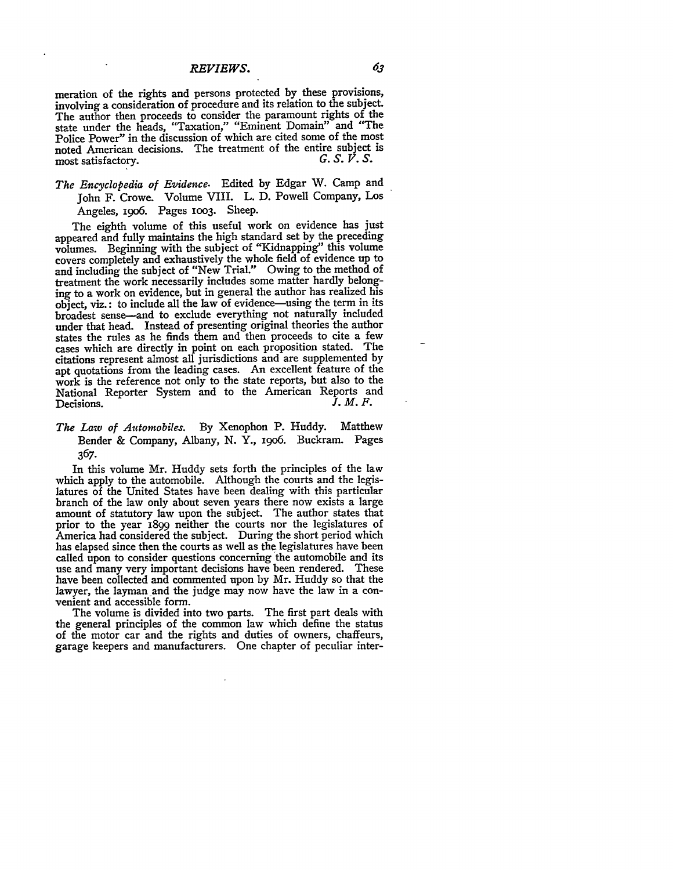*REVIEWS.*

meration of the rights and persons protected **by** these provisions, involving a consideration of procedure and its relation to the subject. The author then proceeds to consider the paramount rights of the state under the heads, "Taxation," "Eminent Domain" and "The Police Power" in the discussion of which are cited some of the most noted American decisions. The treatment of the entire subject is most satisfactory. *G.S.V.S.*

## *The Encyclopedia of Evidence.* Edited **by** Edgar W. Camp and John F. Crowe. Volume VIII. L. **D.** Powell Company, Los Angeles, i9o6. Pages **Ioo3.** Sheep.

The eighth volume of this useful work on evidence has just appeared and fully maintains the high standard set **by** the preceding volumes. Beginning with the subject of "Kidnapping" this volume covers completely and exhaustively the whole field of evidence up to and including the subject of "New Trial." Owing to the method of treatment the work necessarily includes some matter hardly belonging to a work on evidence, but in general the author has realized his object, viz.: to include all the law of evidence-using the term in its broadest sense-and to exclude everything not naturally included under that head. Instead of presenting original theories the author states the rules as he finds them and then proceeds to cite a few cases which are directly in point on each proposition stated. The citations represent almost all jurisdictions and are supplemented **by** apt quotations from the leading cases. An excellent feature of the work is the reference not only to the state reports, but also to the National Reporter System and to the American Reports and Decisions. *J. M. F.*

## *The Law of Automobiles.* **By** Xenophon P. Huddy. Matthew Bender & Company, Albany, N. Y., I9o6. Buckram. Pages 367.

In this volume Mr. Huddy sets forth the principles of the law which apply to the automobile. Although the courts and the legislatures of the United States have been dealing with this particular branch of the law only about seven years there now exists a large amount of statutory law upon the subject. The author states that prior to the year *I899* neither the courts nor the legislatures of America had considered the subject. During the short period which has elapsed since then the courts as well as the legislatures have been called upon to consider questions concerning the automobile and its use and many very important decisions have been rendered. These have been collected and commented upon by Mr. Huddy so that the lawyer, the layman and the judge may now have the law in a convenient and accessible form.

The volume is divided into two parts. The first part deals with the general principles of the common law which define the status of the motor car and the rights and duties of owners, chaffeurs, garage keepers and manufacturers. One chapter of peculiar inter